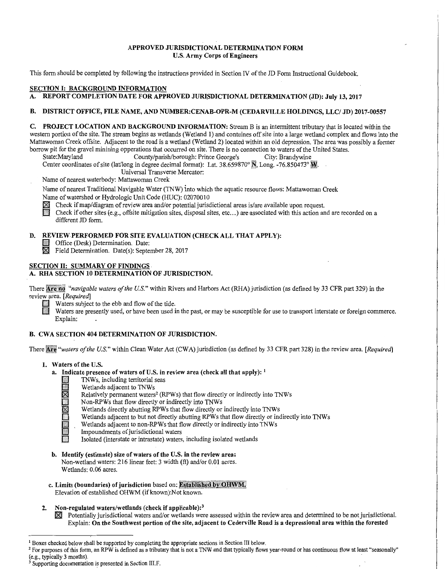# APPROVED JURISDICTIONAL DETERMINATION FORM U.S. Army Corps of Engineers

This form should be completed by following the instructions provided in Section IV of the JD Form Instructional Guidebook.

# SECTION I: BACKGROUND INFORMATION

# A. REPORT COMPLETION DATE FOR APPROVED JURISDICTIONAL DETERMINATION (JD): July 13, 2017

#### B. DISTRICT OFFICE, FILE NAME, AND NUMBER:CENAB-OPR-M (CEDARVILLE HOLDINGS, LLC/ JD) 2017-00557

C. PROJECT LOCATION AND BACKGROUND INFORMATION: Stream Bis an intermittent tributary that is located within the western portion of the site. The stream begins as wetlands (Wetland 1) and contuines off site into a large wetland complex and flows into the Mattawoman Creek offsite. Adjacent to the road is a wetland (Wetland 2) located within an old depression. The area was possibly a former borrow pit for the gravel minining opperations that occurred on site. There is no connection to waters of the United States.<br>
State:Maryland County/parish/borough: Prince George's City: Brandywine

County/parish/borough: Prince George's

Center coordinates of site (lat/long in degree decimal format): Lat.  $38.659870°$  N, Long. -76.850473° M.

Universal Transverse Mercator:

Name of nearest waterbody: Mattawoman Creek

Name of nearest Traditional Navigable Water (TNW) into which the aquatic resource flows: Mattawoman Creek Name of watershed or Hydrologic Unit Code (HUC): 02070010

Check if map/diagram of review area and/or potential jurisdictional areas is/are available upon request.

Check if other sites (e.g., offsite mitigation sites, disposal sites, etc...) are associated with this action and are recorded on a different JD form.

# D. REVIEW.PERFORMED FOR SITE EVALUATION (CHECK ALL THAT APPLY):

- **D** Office (Desk) Determination. Date:
- $\boxtimes$  Field Determination. Date(s): September 28, 2017

# SECTION II: SUMMARY OF FINDINGS A. RHA SECTION 10 DETERMINATION OF JURISDICTION.

There Are no "navigable waters of the U.S." within Rivers and Harbors Act (RHA) jurisdiction (as defined by 33 CFR part 329) in the review area. *[Required]* 

- $\Box$  Waters subject to the ebb and flow of the tide.
	- Waters are presently used, or have been used in the past, or may be susceptible for use to transport interstate or foreign commerce. Explain:

# B. CWA SECTION 404 DETERMINATION OF JURISDICTION.

There Are "waters of the U.S." within Clean Water Act (CWA) jurisdiction (as defined by 33 CFR part 328) in the review area. [Required]

- 1. Waters of the U.S.
	- a. Indicate presence of waters of U.S. in review area (check all that apply):  $<sup>1</sup>$ </sup>
		- - Wetlands adjacent to TNWs
		- $\Box$  TNWs, including territorial seas<br>Wetlands adjacent to TNWs<br>Relatively permanent waters<sup>2</sup> (R Relatively permanent waters<sup>2</sup> (RPWs) that flow directly or indirectly into TNWs
			-
		- $\Box$  Non-RPWs that flow directly or indirectly into TNWs Wetlands directly abutting RPWs that flow directly or Wetlands directly abutting RPWs that flow directly or indirectly into TNWs
			- Wetlands adjacent to but not directly abutting RPWs that flow directly or indirectly into TNWs
			- Wetlands adjacent to non-RPWs that flow directly or indirectly into TNWs
		- Impoundments of jurisdictional waters
		- Isolated (interstate or intrastate) waters, including isolated wetlands
	- b. Identify (estimate) size of waters of the U.S. in the review area: Non-wetland waters: 216 linear feet: 3 width (ft) and/or 0.01 acres. Wetlands: 0.06 acres.
	- c. Limits (boundaries) of jurisdiction based on: Established by OHWM. Elevation of established OHWM (if known):Not known.
- 2. Non-regulated waters/wetlands (check if applicable):<sup>3</sup>
	- $\boxtimes$  Potentially jurisdictional waters and/or wetlands were assessed within the review area and determined to be not jurisdictional. Explain: On the Southwest portion of the site, adjacent to Cederville Road is a depressional area within the forested

<sup>&</sup>lt;sup>1</sup> Boxes checked below shall be supported by completing the appropriate sections in Section III below.<br><sup>2</sup> For purposes of this form, an RPW is defined as a tributary that is not a TNW and that typically flows year-round

Supporting documentation is presented in Section III.F.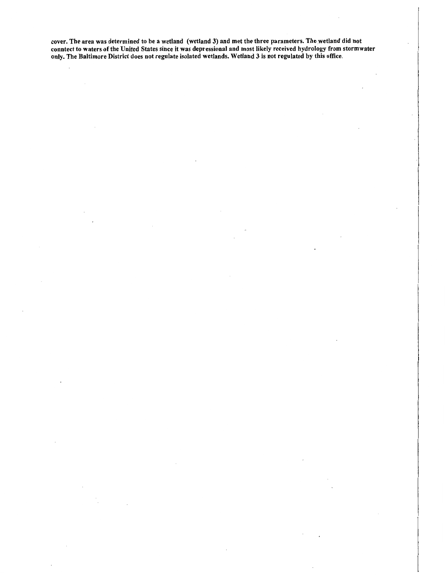cover. The area was determined to be a wetland (wetland 3) and met the three parameters. The.wetland did not conntect to waters of the United States since it was depressional and most likely received hydrology from stormwater only. The Baltimore District does not regulate isolated wetlands. Wetland 3 is not regulated by this office.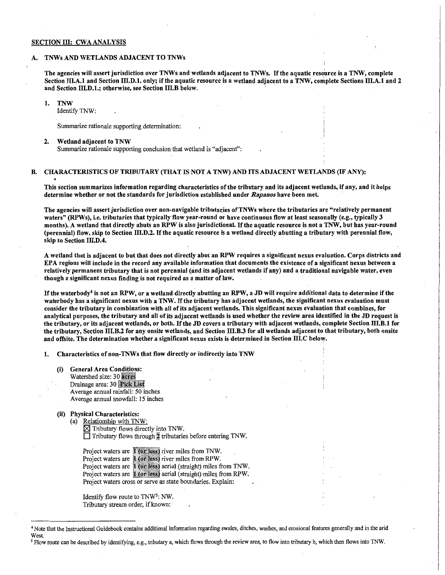#### SECTION III: CWA ANALYSIS

#### A. TNWs AND WETLANDS ADJACENT TO TNWs

The agencies will assert jurisdiction over TNWs and wetlands adjacent to TNWs. If the aquatic resource is a TNW, complete Section III.A.1 and Section III.D.1. only; if the aquatic resource is a wetland adjacent to a TNW, complete Sections III.A.1 and 2 and Section llLD.1.; otherwise, see Section llI.B below.

> i I  $\cdot$

#### 1. TNW

Identify TNW:

Summarize rationale supporting determination:

#### 2. Wetland adjacent to TNW

Summarize rationale supporting conclusion that wetland is "adjacent":

## B. CHARACTERISTICS OF TRIBUTARY (THAT IS NOT A TNW) AND ITS ADJACENT WETLANDS (IF ANY):

This section summarizes information regarding characteristics of the tributary and its adjacent wetlands, if any, and it helps determine whether or not the standards for jurisdiction established under *Rapanos* have been met.

The agencies will assert jurisdiction over non-navigable tributaries of TNWs where the tributaries are "relatively permanent waters" (RPWs), i.e. tributaries that typically flow year-round or have continuous flow at least seasonally (e.g., typically 3 months). A wetland that directly abuts an RPW is also jurisdictional. If the aquatic resource is not a TNW, but has year-round (perennial) flow, skip to Section llI.D.2. If the aquatic resource is a wetland directly abutting a tributary with perennial flow, skip to Section III.D.4.

A wetland that is adjacent to but that does not directly abut an RPW requires a significant nexus evaluation. Corps districts and EPA regions will include in the record any available information that documents the existence of a significant nexus between a relatively permanent tributary that is not perennial (and its adjacent wetlands if any) and a traditional navigable water, even though a significant nexus finding is not required as a matter of law.

If the waterbody<sup>4</sup> is not an RPW, or a wetland directly abutting an RPW, a JD will require additional data to determine if the waterbody has a significant nexus with a TNW. If the tributary has adjacent wetlands, the significant nexus evaluation must consider the tributary in combination with all of its adjacent wetlands. This significant nexus evaluation that combines, for analytical purposes, the tributary and all of its adjacent wetlands is used whether the review area identified in the JD request is the tributary, or its adjacent wetlands, or both. If the JD covers a tributary with adjacent wetlands, complete Section llI.B.1 for the tributary, Section llI.B.2 for any onsite wetlands, and Section 111.B.3 for all wetlands adjacent to that tributary, both onsite and offsite. The determination whether a significant nexus exists is determined in Section III.C below.

1. Characteristics of non-TNWs that flow directly or indirectly into TNW

- (i) General Area Conditions: Watershed size: 30 acres Drainage area: 30 Pick List Average annual rainfall: 50 inches Average annual snowfall: 15 inches
- (ii) Physical Characteristics:
	- (a) Relationship with TNW:  $\times$  Tributary flows directly into TNW.  $\Box$  Tributary flows through  $\frac{1}{2}$  tributaries before entering TNW.

Project waters are 1 (or less) river miles from TNW. Project waters are  $\parallel$  (or less) river miles from RPW. Project waters are 1 (or less) aerial (straight) miles from TNW. Project waters are **1 (or less)** aerial (straight) miles from RPW. Project waters cross or serve as state boundaries. Explain:

Identify flow route to TNW5: NW. Tributary stream order, if known:

<sup>4</sup> Note that the Instructional Guidebook contains additional information regarding swales, ditches, washes, and erosional features generally and in the arid West.

*<sup>5</sup>* Flow route can be described by identifying, e.g., tributary a, which flows through the review area, to flow into tributary b, which then flows into TNW.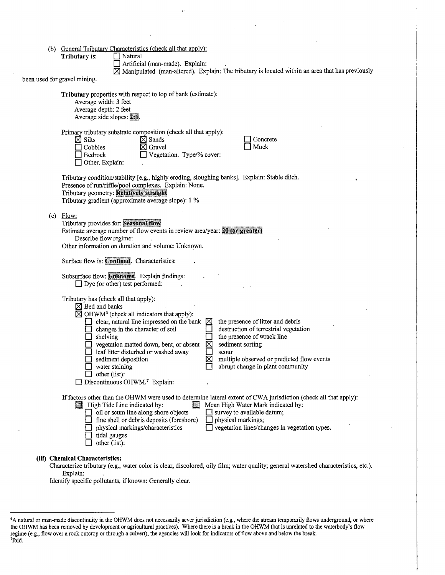| (b) General Tributary Characteristics (check all that apply): |                |  |
|---------------------------------------------------------------|----------------|--|
| <b>Tributary is:</b>                                          | $\Box$ Natural |  |

D Artificial (man-made). Explain:

,,

 $\times$ Manipulated (man-altered). Explain: The tributary is located within an area that has previously

been used for gravel mining.

Tributary properties with respect to top of bank (estimate): Average width: 3 feet Average depth: 2 feet Average side slopes:  $2:1$ .

| Primary tributary substrate composition (check all that apply):<br>$\boxtimes$ Sands<br>$\boxtimes$ Silts<br>Concrete<br>Muck<br>Gravel<br>Cobbles<br>Vegetation. Type/% cover:<br>Bedrock<br>Other. Explain:                                                                                                                                                                                                                                                                                                                                                                                                                                                                    |
|----------------------------------------------------------------------------------------------------------------------------------------------------------------------------------------------------------------------------------------------------------------------------------------------------------------------------------------------------------------------------------------------------------------------------------------------------------------------------------------------------------------------------------------------------------------------------------------------------------------------------------------------------------------------------------|
| Tributary condition/stability [e.g., highly eroding, sloughing banks]. Explain: Stable ditch.<br>Presence of run/riffle/pool complexes. Explain: None.<br>Tributary geometry: Relatively straight<br>Tributary gradient (approximate average slope): 1 %                                                                                                                                                                                                                                                                                                                                                                                                                         |
| $(c)$ Flow:<br>Tributary provides for: Seasonal flow<br>Estimate average number of flow events in review area/year: 20 (or greater)<br>Describe flow regime:<br>Other information on duration and volume: Unknown.                                                                                                                                                                                                                                                                                                                                                                                                                                                               |
| Surface flow is: Confined. Characteristics:                                                                                                                                                                                                                                                                                                                                                                                                                                                                                                                                                                                                                                      |
| Subsurface flow: Unknown. Explain findings:<br>$\Box$ Dye (or other) test performed:                                                                                                                                                                                                                                                                                                                                                                                                                                                                                                                                                                                             |
| Tributary has (check all that apply):<br>$\boxtimes$ Bed and banks<br>$\boxtimes$ OHWM <sup>6</sup> (check all indicators that apply):<br>clear, natural line impressed on the bank<br>the presence of litter and debris<br>⋈<br>destruction of terrestrial vegetation<br>changes in the character of soil<br>the presence of wrack line<br>$\Box$ shelving<br>yegetation matted down, bent, or absent<br>sediment sorting<br>⊠<br>leaf litter disturbed or washed away<br>scour<br>multiple observed or predicted flow events<br>sediment deposition<br>abrupt change in plant community<br>water staining<br>$\Box$ other (list):<br>Discontinuous OHWM. <sup>7</sup> Explain: |
| If factors other than the OHWM were used to determine lateral extent of CWA jurisdiction (check all that apply):<br>Mean High Water Mark indicated by:<br>High Tide Line indicated by:<br>$\Box$ oil or scum line along shore objects<br>survey to available datum;<br>fine shell or debris deposits (foreshore)<br>physical markings;<br>vegetation lines/changes in vegetation types.<br>physical markings/characteristics<br>tidal gauges<br>other (list):                                                                                                                                                                                                                    |
|                                                                                                                                                                                                                                                                                                                                                                                                                                                                                                                                                                                                                                                                                  |

#### (iii) Chemical Characteristics:

Characterize tributary (e.g., water color is clear, discolored, oily film; water quality; general watershed characteristics, etc.). Explain:

Identify specific pollutants, if known: Generally clear.

<sup>6</sup> A natural or man-made discontinuity in the OHWM does not necessarily sever jurisdiction (e.g., where the stream temporarily flows underground, or where the OHWM has been removed by development or agricultural practices). Where there is a break in the OHWM that is unrelated to the waterbody's flow regime (e.g., flow over a rock outcrop or through a culvert), the agencies will look for indicators of flow above and below the break. 7Ibid.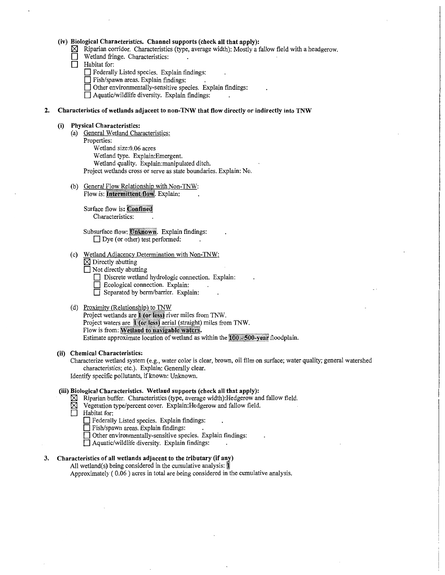#### **(iv) Biological Characteristics. Channel supports (check all that apply):**

Riparian corridor. Characteristics (type, average width): Mostly a fallow field with a headgerow.

- Wetland fringe. Characteristics:<br>□ Habitat for:
	- **Habitat** for:
		- **D** Federally Listed species. Explain findings:
		- **D** Fish/spawn areas. Explain findings: .
		- **D** Other environmentally-sensitive species. Explain findings:
		- **D** Aquatic/wildlife diversity. Explain findings:

#### **2. Characteristics of wetlands adjacent to non-TNW that flow directly or indirectly into TNW**

#### **(i) Physical Characteristics:**

- (a) General Wetland Characteristics:
	- Properties: Wetland size:0.06 acres Wetland type. Explain:Emergent. Wetland quality. Explain:manipulated ditch. Project wetlands cross or serve as state boundaries. Explain: No.
	-
- (b) General Flow Relationship with Non-TNW: Flow is: **Intermittent flow**. Explain:

Surface flow is: Confined Characteristics:

Subsurface flow: Unknown. Explain findings: □ Dye (or other) test performed:

- (c) Wetland Adjacency Determination with Non-TNW:
	- $\boxtimes$  Directly abutting
	- **D** Not directly abutting
		- Discrete wetland hydrologic connection. Explain:
		- Ecological connection. Explain:
		- D Separated by berm/barrier. Explain:

## (d) Proximity (Relationship) to TNW

Project wetlands are 1 (or less) river miles from TNW. Project waters are 1 (or less) aerial (straight) miles from TNW. Flow is from: Wetland to navigable waters. Estimate approximate location of wetland as within the  $100 - 500$ -year floodplain.

# **(ii) Chemical Characteristics:**

Characterize wetland system (e.g., water color is clear, brown, oil film on surface; water quality; general watershed characteristics; etc.). Explain: Generally clear. Identify specific pollutants, if known: Unknown.

#### **(iii) Biological Characteristics. Wetland supports (check all that apply):**

- $\boxtimes$  Riparian buffer. Characteristics (type, average width): Hedgerow and fallow field.
- Vegetation type/percent cover. Explain:Hedgerow and fallow field.
- **Habitat** for:
	- **D** Federally Listed species. Explain findings:
	- **D** Fish/spawn areas. Explain findings:
	- **D** Other environmentally-sensitive species. Explain findings:
	- **D** Aquatic/wildlife diversity. Explain findings:

#### **3. Characteristics of all wetlands adjacent to the tributary (if any)**

All wetland(s) being considered in the cumulative analysis:  $\blacksquare$ 

Approximately ( 0.06 ) acres in total are being considered in the cumulative analysis.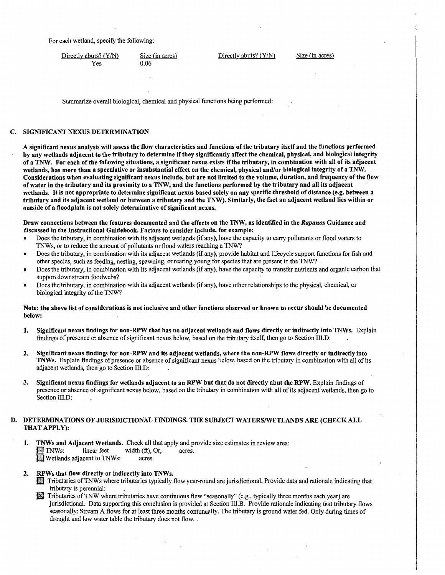For each wetland, specify the following:

Directly abuts? (Y/N) Yes

Size (in acres) 0.06

Directly abuts? (Y/N)

Size (in acres)

Summarize overall biological, chemical and physical functions being performed:

# C. SIGNIFICANT NEXUS DETERMINATION

A significant nexus analysis will assess the flow characteristics and functions of the tributary itself and the functions performed by any wetlands adjacent to the tributary to determine if they significantly affect the chemical, physical, and biological integrity ofa TNW. For each of the following situations, a significant nexus exists ifthe tributary, in combination with all of its adjacent wetlands, has more than a speculative or insubstantial effect on the chemical, physical and/or biological integrity of a TNW. Considerations when evaluating significant nexus include, but are not limited to the volume, duration, and frequency of the flow of water in the tributary and its proximity to a TNW, and the functions performed by the tributary and all its adjacent wetlands. It is not appropriate to determine significant nexus based solely on any specific threshold of distance (e.g. between a tributary and its adjacent wetland or between a tributary and the TNW). Similarly, the fact an adjacent wetland lies within or outside of a floodplain is not solely determinative of significant nexus.

Draw connections between the features documented and the effects on the TNW, as identified in the *Rapanos* Guidance and discussed in the Instructional Guidebook. Factors to consider include, for example:

- Does the tributary, in combination with its adjacent wetlands (if any), have the capacity to carry pollutants or flood waters to TNWs, or to reduce the amount of pollutants or flood waters reaching a TNW?
- Does the tributary, in combination with its adjacent wetlands (if any), provide habitat and lifecycle support functions for fish and other species, such as feeding, nesting, spawning, or rearing young for species that are present in the TNW?
- Does the tributary, in combination with its adjacent wetlands (if any), have the capacity to transfer nutrients and organic carbon that support downstream foodwebs?
- Does the tributary, in combination with its adjacent wetlands (if any), have other relationships to the physical, chemical, or biological integrity of the TNW?

# Note: the above list of considerations is not inclusive and other functions observed or known to occur should be documented below:

- 1. Significant nexus findings for non-RPW that has no adjacent wetlands and flows directly or indirectly into TNWs. Explain findings of presence or absence of significant nexus below, based on the tributary itself, then go to Section III.D:
- 2. Significant nexus findings for non-RPW and its adjacent wetlands, where the non-RPW flows directly or indirectly into TNWs. Explain findings of presence or absence of significant nexus below, based on the tributary in combination with all of its adjacent wetlands, then go to Section III.D:
- 3. Significant nexus findings for wetlands adjacent to an RPW but that do not directly abut the RPW. Explain findings of presence or absence of significant nexus below, based on the tributary in combination with all of its adjacenfwetlands, then go to Section III.D:

# DETERMINATIONS OF JURISDICTIONAL FINDINGS. THE SUBJECT WATERS/WETLANDS ARE (CHECK ALL THAT APPLY):

- 1. TNWs and Adjacent Wetlands. Check all that apply and provide size estimates in review area:<br>
TNWs: linear feet width  $(ft)$ , Or, acres.  $width (ft), Or, \tarcs.$ Wetlands adjacent to TNWs: acres.
- 2. RPWs that flow directly or indirectly into TNWs.
	- fl!3 Tributaries ofTNWs where tributaries typically flow year-round are jurisdictional. Provide data and rationale indicating that tributary is perennial: .
	- $\boxtimes$  Tributaries of TNW where tributaries have continuous flow "seasonally" (e.g., typically three months each year) are jurisdictional. Data supporting this conclusion is provided at Section III.B. Provide rationale indicating that tributary flows seasonally: Stream A flows for at least three months contunually. The tributary is ground water fed. Only during times of drought and low water table the tributary does not flow...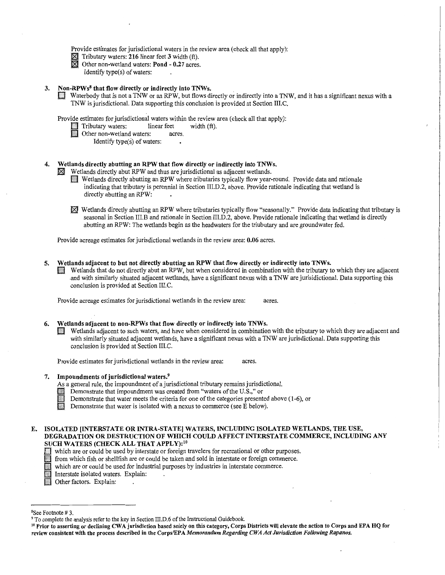Provide estimates for jurisdictional waters in the review area (check all that apply):

- $\times$  Tributary waters: 216 linear feet 3 width (ft).
- $\boxtimes$  Other non-wetland waters: Pond 0.27 acres.
	- Identify type(s) of waters:

#### 3. Non-RPWs<sup>8</sup> that flow directly or indirectly into TNWs.

CJ Waterbody that is not a TNW or an RPW, but flows directly or indirectly into a TNW, and it has a significant nexus with a TNW is jurisdictional. Data supporting this conclusion is provided at Section III.C.

Provide estimates for jurisdictional waters within the review area (check all that apply):<br>
Tributary waters: linear feet width (ft).

- Tributary waters: linear feet width (ft).<br>
Other non-wetland waters: acres.
	- - Identify type $(s)$  of waters:

# 4. Wetlands directly abutting an RPW that flow directly or indirectly into TNWs.<br> $\boxtimes$  Wetlands directly abut RPW and thus are jurisdictional as adjacent wetlands.

- Wetlands directly abutting an RPW where tributaries typically flow year-round. Provide data and rationale indicating that tributary is perennial in Section III.D.2, above. Provide rationale indicating that wetland is directly abutting an RPW:
- 181 Wetlands directly abutting an RPW where tributaries typically flow "seasonally." Provide data indicating that tributary is seasonal in Section III.B and rationale in Section III.D.2, above. Provide rationale indicating that wetland is directly abutting an RPW: The wetlands begin as the headwaters for the triubutary and are groundwater fed.

Provide acreage estimates for jurisdictional wetlands in the review area: 0.06 acres.

#### 5. Wetlands adjacent to but not directly abutting an RPW that flow directly or indirectly into TNWs.

0 Wetlands that do not directly abut an RPW, but when considered in combination with the tributary to which they are adjacent .and with similarly situated adjacent wetlands, have a significant nexus with a TNW are jurisidictional. Data supporting this conclusion is provided at Section III.C.

Provide acreage estimates for jurisdictional wetlands in the review area: acres.

#### 6. Wetlands adjacent to non-RPWs that flow directly or indirectly into TNWs.

[J Wetlands adjacent to such waters, and have when considered in combination with the tributary to which they are adjacent and with similarly situated adjacent wetlands, have a significant nexus with a TNW are jurisdictional. Data supporting this conclusion is provided at Section III.C.

Provide estimates for jurisdictional wetlands in the review area: acres.

#### 7. Impoundments of jurisdictional waters.9

As a general rule, the impoundment of a jurisdictional tributary remains jurisdictional.

- Demonstrate that impoundment was created from "waters of the U.S.," or
- Demonstrate that water meets the criteria for one of the categories presented above (1-6), or
- Demonstrate that water is isolated with a nexus to commerce (see E below).
- E. ISOLATED [INTERSTATE OR INTRA-STATE) WATERS, INCLUDING ISOLATED WETLANDS, THE USE, DEGRADATION OR DESTRUCTION OF WHICH COULD AFFECT INTERSTATE COMMERCE, INCLUDING ANY SUCH WATERS (CHECK ALL THAT APPLY): <sup>10</sup>
	- Cl which are or could be used by interstate or foreign travelers for recreational or other purposes.

If from which fish or shellfish are or could be taken and sold in interstate or foreign commerce.

 $\Box$  which are or could be used for industrial purposes by industries in interstate commerce.

Interstate isolated waters. Explain:

**ID Other factors.** Explain:

<sup>&</sup>lt;sup>8</sup>See Footnote #3.

<sup>&</sup>lt;sup>9</sup> To complete the analysis refer to the key in Section III.D.6 of the Instructional Guidebook.<br><sup>10</sup> Prior to asserting or declining CWA jurisdiction based solely on this category, Corps Districts will elevate the action review consistent with the process described in the Corps/EPA *Memorandum Regarding CWA Ad Jurisdiction Following Rapanos.*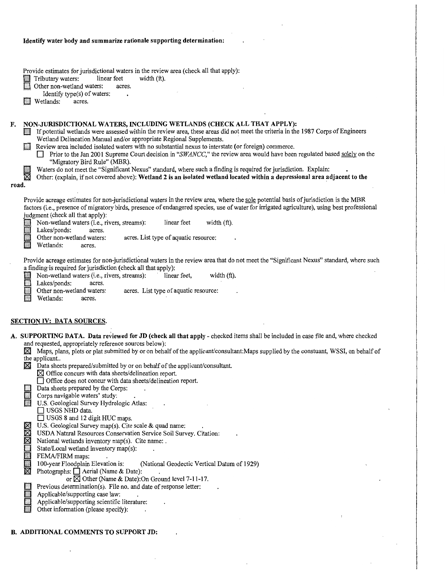#### Identify water body and summarize rationale supporting determination:

Provide estimates for jurisdictional waters in the review area (check all that apply):

§ Tributary waters: linear feet width (ft).

Other non-wetland waters: acres.

Identify type(s) of waters:

**D** Wetlands: acres.

# F. NON-JURISDICTIONAL WATERS, INCLUDING WETLANDS (CHECK ALL THAT APPLY):

If potential wetlands were assessed within the review area, these areas did not meet the criteria in the 1987 Corps of Engineers Wetland Delineation Manual and/or appropriate Regional Supplements.

D Review area included isolated waters with no substantial nexus to interstate (or foreign) commerce.

- □ Prior to the Jan 2001 Supreme Court decision in "SWANCC," the review area would have been regulated based solely on the "Migratory Bird Rule" (MBR).
- Waters do not meet the "Significant Nexus" standard, where such a finding is required for jurisdiction. Explain:

 $\boxtimes$  Other: (explain, if not covered above): Wetland 2 is an isolated wetland located within a depressional area adjacent to the

#### road.

Provide acreage estimates for non-jurisdictional waters in the review area, where the sole potential basis of jurisdiction is the MBR factors (i.e., presence of migratory birds, presence of endangered species, use of water for irrigated agriculture), using best professional judgment (check all that apply):

Non-wetland waters (i.e., rivers, streams): linear feet width (ft).

Lakes/ponds: acres.<br>Other non-wetland waters:

acres. List type of aquatic resource:

Wetlands: acres.

Provide acreage estimates for non-jurisdictional waters in the review area that do not meet the "Significant Nexus" standard, where such a finding' is required for jurisdiction (check all that apply):

Non-wetland waters (i.e., rivers, streams): linear feet, width (ft).<br>Lakes/ponds: acres.

Lakes/ponds:

Other non-wetland waters:<br>Wetlands: acres. acres. List type of aquatic resource:

Wetlands:

# SECTION IV: DATA SOURCES.

- A. SUPPORTING DATA. Data reviewed for JD (check all that apply- checked items shall be included in case file and, where checked and requested, appropriately reference sources below):
	- f8:I Maps, plans, plots or plat submitted by or on behalf of the applicant/consultant:Maps supplied by the constuant, WSSI, on behalf of the applicant..
	- $\boxtimes$  Data sheets prepared/submitted by or on behalf of the applicant/consultant.
		- $\boxtimes$  Office concurs with data sheets/delineation report.

□ Office does not concur with data sheets/delineation report.

Data sheets prepared by the Corps:

Corps navigable waters' study:

U.S. Geological Survey Hydrologic Atlas:

 $\Box$  USGS NHD data.

 $\Box$  USGS 8 and 12 digit HUC maps.

 $\boxtimes$  U.S. Geological Survey map(s). Cite scale & quad name:

 $\boxtimes$  USDA Natural Resources Conservation Service Soil Survey. Citation:  $\boxtimes$  National wetlands inventory map(s). Cite name:

National wetlands inventory map(s). Cite name: .

State/Local wetland inventory map(s):

FEMA/FIRM maps:<br>100-year Floodplain Elevation is: 100-year Floodplain Elevation is: (National Geodectic Vertical Datum of 1929) <br>
Photographs: DAerial (Name & Date): .

or  $\overline{\boxtimes}$  Other (Name & Date): On Ground level 7-11-17.

**Exercise Set Exercises** Previous determination(s). File no. and date of response letter:<br>Applicable/supporting case law:

- Applicable/supporting case law:
- Applicable/supporting scientific literature:
- Other information (please specify):

B. ADDITIONAL COMMENTS TO SUPPORT JD: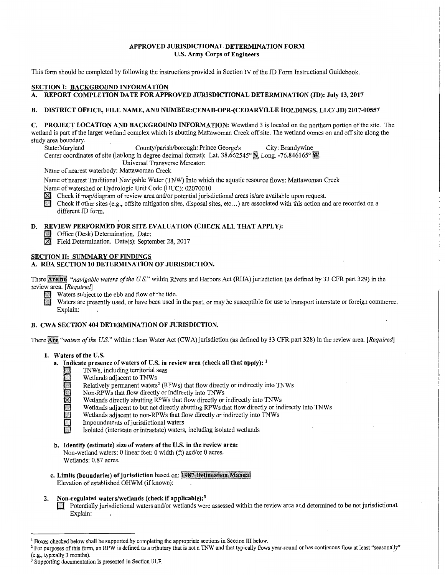# APPROVED JURISDICTIONAL DETERMINATION FORM U.S. Army Corps of Engineers

This form should be completed by following the instructions provided in Section IV of the JD Form Instructional Guidebook.

# SECTION I: BACKGROUND INFORMATION

# A. REPORT COMPLETION DATE FOR APPROVED JURISDICTIONAL DETERMINATION (JD): July 13, 2017

# B. DISTRICT OFFICE, FILE NAME, AND NUMBER:CENAB-OPR-(CEDARVILLE HOLDINGS, LLC/ JD) 2017-00557

C. PROJECT LOCATION AND BACKGROUND INFORMATION: Wewtland 3 is located on the northern portion of the site. The wetland is part of the larger wetland complex which is abutting Mattawoman Creek off site. The wetland comes on and off site along the study area boundary.

County/parish/borough: Prince George's City: Brandywine

Center coordinates of site (lat/long in degree decimal format): Lat. 38.662545° N, Long. -76.846165° W.

Universal Transverse Mercator:

Name of nearest waterbody: Mattawoman Creek

Name of nearest Traditional Navigable Water (TNW) into which the aquatic resource flows: Mattawoman Creek<br>Name of watershed or Hydrologic Unit Code (HUC): 02070010 Name of watershed or Hydrologic Unit Code (HUC): 02070010

Check if map/diagram of review area and/or potential jurisdictional areas is/are available upon request.<br>
Check if other sites (e.g., offsite mitigation sites, disposal sites, etc...) are associated with this action and a different JD form.

# D. REVIEW PERFORMED FOR SITE EVALUATION (CHECK ALL THAT APPLY):

**C** Office (Desk) Determination. Date:

Field Determination. Date(s): September 28, 2017

# SECTION II: SUMMARY OF FINDINGS

# A. RHA SECTION 10 DETERMINATION OF JURISDICTION.

There Are no "navigable waters of the U.S." within Rivers and Harbors Act (RHA) jurisdiction (as defined by 33 CFR part 329) in the review area. *[Required]*  Waters subject to the ebb and flow of the tide.

Waters are presently used, or have been used in the past, or may be susceptible for use to transport interstate or foreign commerce. Explain:

# B. CWA SECTION 404 DETERMINATION OF JURISDICTION.

There Are "waters of the U.S." within Clean Water Act (CWA) jurisdiction (as defined by 33 CFR part 328) in the review area. *[Required]* 

- 1. Waters of the U.S.
	- a. Indicate presence of waters of U.S. in review area (check all that apply):  $<sup>1</sup>$ </sup>
		- **CJ** TNWs, including territorial seas<br>
		Wetlands adjacent to TNWs<br>
		Relatively permanent waters<sup>2</sup> (R
		- Wetlands adjacent to TNWs
		- Relatively permanent waters<sup>2</sup> (RPWs) that flow directly or indirectly into TNWs<br>Non-RPWs that flow directly or indirectly into TNWs<br>Wetlands directly abutting RPWs that flow directly into TNWs<br>Wetlands adjacent to but not
			- Non-RPWs that flow directly or indirectly into TNWs
			- Wetlands directly abutting RPWs that flow directly or indirectly into TNWs
			- Wetlands adjacent to but not directly abutting RPWs that flow directly or indirectly into TNWs
			- Wetlands adjacent to non-RPWs that flow directly or indirectly into TNWs
			- Impoundments of jurisdictional waters
			- Isolated (interstate or intrastate) waters, including isolated wetlands
	- b. Identify (estimate) size of waters of the U.S. in the review area: Non-wetland waters: 0 linear feet: 0 width (ft) and/or 0 acres.
		- Wetlands: 0.87 acres.
	- c. Limits (boundaries) of jurisdiction based on: 1987 Delineation Manual Elevation of established OHWM (if known):

#### 2. Non-regulated waters/wetlands (check if applicable):<sup>3</sup>

CJ Potentially jurisdictional waters and/or wetlands were assessed within the review area and determined to be not jurisdictional. Explain:

<sup>1</sup> Boxes checked below shall be supported by completing the appropriate sections in Section III below.<br><sup>2</sup> For purposes of this form, an RPW is defined as a tributary that is not a TNW and that typically flows year-round

<sup>&</sup>lt;sup>3</sup> Supporting documentation is presented in Section III.F.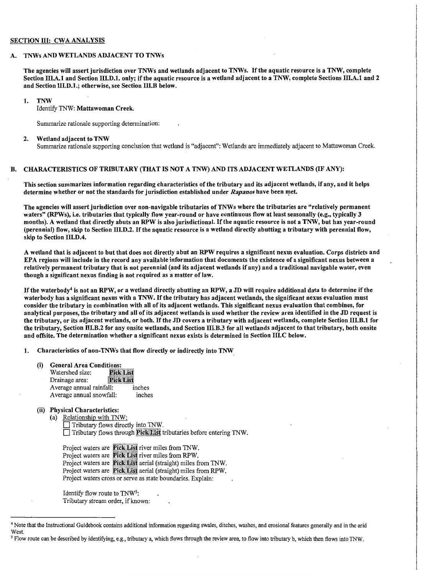#### SECTION III: CWA ANALYSIS

#### A. TNWs AND WETLANDS ADJACENT TO TNWs

The agencies will assert jurisdiction over TNWs and wetlands adjacent to TNWs. If the aquatic resource is a TNW, complete Section III.A.1 and Section III.D.1. only; if the aquatic resource is a wetland adjacent to a TNW, complete Sections III.A.1 and 2 and Section 111.D.1.; otherwise, see Section 111.B below.

#### 1. TNW

Identify TNW: Mattawoman Creek.

Summarize rationale supporting determination:

#### 2. Wetland adjacent to TNW

Summarize rationale supporting conclusion that wetland is "adjacent": Wetlands are immediately adjacent to Mattawoman Creek.

# B. CHARACTERISTICS OF TRIBUTARY (THAT IS NOT A TNW) AND ITS ADJACENT WETLANDS (IF ANY):

This section summarizes information regarding characteristics of the tributary and its adjacent wetlands, if any, and it helps determine whether or not the standards for jurisdiction established under *Rapanos* have been met.

The agencies will assert jurisdiction over non-navigable tributaries of TNWs where the tributaries are "relatively permanent waters" (RPWs), i.e. tributaries that typically flow year-round or have continuous flow at least seasonally (e.g., typically 3 months). A wetland that directly abuts an RPW is also jurisdictional. If the aquatic resource is not a TNW, but has year-round (perennial) flow, skip to Section 111.D.2. If the aquatic resource is a wetland directly abutting a tributary with perennial flow, skip to Section 111.D.4.

A wetland that is adjacent to but that does not directly abut an RPW requires a significant nexus evaluation. Corps districts and EPA regions will include in the record any available information that documents the existence of a significant nexus between a relatively permanent tributary that is not perennial (and its adjacent wetlands if any) and a traditional navigable water, even though a significant nexus finding is not required as a matter of law.

If the waterbody4 is not an RPW, or a wetland directly abutting an RPW, a JD will require additional data to determine if the waterbody has a significant nexus with a TNW. If the tributary has adjacent wetlands, the significant nexus evaluation must consider the tributary in combination with all of its adjacent wetlands. This significant nexus evaluation that combines, for analytical purposes, the tributary and all of its adjacent wetlands is used whether the review area identified in the JD request is the tributary, or its adjacent wetlands, or both. If the JD covers a tributary with adjacent wetlands, complete Section 111.B.1 for the tributary, Section 111.B.2 for any onsite wetlands, and Section 111.B.3 for all wetlands adjacent to that tributary, both onsite and offsite. The determination whether a significant nexus exists is determined in Section 111.C below.

1. Characteristics of non-TNWs that flow directly or indirectly into TNW

| (i) | <b>General Area Conditions:</b> |  |
|-----|---------------------------------|--|
|     |                                 |  |

| Watershed size:          | <b>Pick List</b> |        |
|--------------------------|------------------|--------|
| Drainage area:           | <b>Pick List</b> |        |
| Average annual rainfall: |                  | inches |
| Average annual snowfall: |                  | inches |

#### (ii) Physical Characteristics:

(a) Relationship with TNW:  $\Box$  Tributary flows directly into TNW.  $\Box$  Tributary flows through **Pick List** tributaries before entering TNW.

Project waters are Pick List river miles from TNW. Project waters are Pick List river miles from RPW. Project waters are Pick List aerial (straight) miles from TNW. Project waters are Pick List aerial (straight) miles from RPW. Project waters cross or serve as state boundaries. Explain:

Identify flow route to TNW5: Tributary stream order, if known:

<sup>4</sup> Note that the Instructional Guidebook contains additional information regarding swales, ditches, washes, and erosional features generally and in the arid West.

*<sup>5</sup>* Flow route can be described by identifying, e.g., tributary a, which flows through the review area, to flow into tributary b, which then flows into TNW.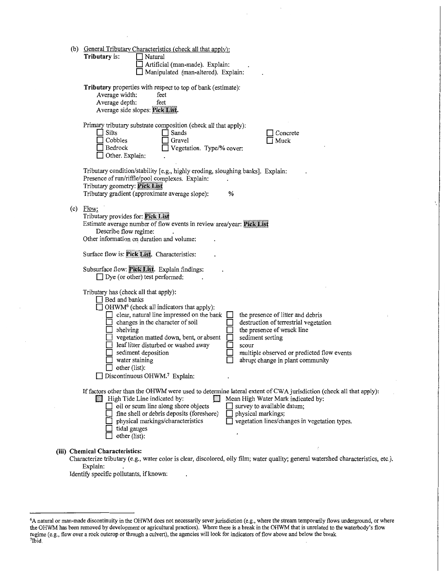|     | (b) General Tributary Characteristics (check all that apply):<br>Tributary is:<br>Natural<br>Artificial (man-made). Explain:<br>Manipulated (man-altered). Explain:                                                                                                                                                                                                                                                                                                                                                                                                                                                                            |
|-----|------------------------------------------------------------------------------------------------------------------------------------------------------------------------------------------------------------------------------------------------------------------------------------------------------------------------------------------------------------------------------------------------------------------------------------------------------------------------------------------------------------------------------------------------------------------------------------------------------------------------------------------------|
|     | Tributary properties with respect to top of bank (estimate):<br>Average width:<br>feet<br>Average depth:<br>feet<br>Average side slopes: Pick List.                                                                                                                                                                                                                                                                                                                                                                                                                                                                                            |
|     | Primary tributary substrate composition (check all that apply):<br>$\Box$ Silts<br>Sands<br>Concrete<br>Cobbles<br>Gravel<br>Muck<br>Bedrock<br>Vegetation. Type/% cover:<br>Other. Explain:                                                                                                                                                                                                                                                                                                                                                                                                                                                   |
|     | Tributary condition/stability [e.g., highly eroding, sloughing banks]. Explain:<br>Presence of run/riffle/pool complexes. Explain:<br>Tributary geometry: Pick List<br>Tributary gradient (approximate average slope):<br>%                                                                                                                                                                                                                                                                                                                                                                                                                    |
| (c) | Flow:<br>Tributary provides for: Pick List<br>Estimate average number of flow events in review area/year: Pick List<br>Describe flow regime:<br>Other information on duration and volume:                                                                                                                                                                                                                                                                                                                                                                                                                                                      |
|     | Surface flow is: Pick List. Characteristics:                                                                                                                                                                                                                                                                                                                                                                                                                                                                                                                                                                                                   |
|     | Subsurface flow: Pick List. Explain findings:<br>$\Box$ Dye (or other) test performed:                                                                                                                                                                                                                                                                                                                                                                                                                                                                                                                                                         |
|     | Tributary has (check all that apply):<br>Bed and banks<br>OHWM <sup>6</sup> (check all indicators that apply):<br>clear, natural line impressed on the bank<br>the presence of litter and debris<br>destruction of terrestrial vegetation<br>changes in the character of soil<br>shelving<br>the presence of wrack line<br>vegetation matted down, bent, or absent<br>sediment sorting<br>leaf litter disturbed or washed away<br>scour<br>sediment deposition<br>multiple observed or predicted flow events<br>water staining<br>abrupt change in plant community<br>$\Box$ other (list):<br>$\Box$ Discontinuous OHWM. <sup>7</sup> Explain: |
|     | If factors other than the OHWM were used to determine lateral extent of CWA jurisdiction (check all that apply):<br>High Tide Line indicated by:<br>Mean High Water Mark indicated by:<br>oil or scum line along shore objects<br>$\Box$ survey to available datum;<br>fine shell or debris deposits (foreshore)<br>physical markings;<br>vegetation lines/changes in vegetation types.<br>physical markings/characteristics<br>tidal gauges<br>other (list):                                                                                                                                                                                  |
|     | (iii) Chemical Characteristics:<br>Characterize tributary (e.g., water color is clear, discolored, oily film; water quality; general watershed characteristics, etc.).<br>Explain:                                                                                                                                                                                                                                                                                                                                                                                                                                                             |

Identify specific pollutants, if known:

<sup>6</sup> A natural or man-made discontinuity in the OHWM does not necessarily sever jurisdiction (e.g., where the stream temporarily flows underground, or where the OHWM has been removed by development or agricultural practices). Where there is a break in the OHWM that is unrelated to the waterbody's flow regime (e.g., flow over a rock outcrop or through a culvert), the agencies will look for indicators of flow above and below the break. 7Ibid.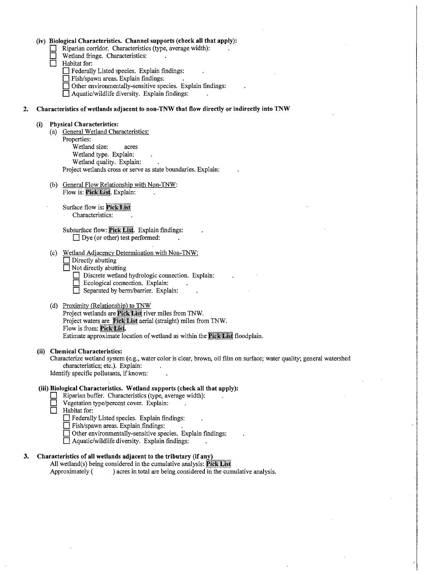|    |      |     | (iv) Biological Characteristics. Channel supports (check all that apply):<br>Riparian corridor. Characteristics (type, average width):<br>Wetland fringe. Characteristics:<br>Habitat for:<br>Federally Listed species. Explain findings:<br>Fish/spawn areas. Explain findings:<br>□ Other environmentally-sensitive species. Explain findings:<br>$\Box$ Aquatic/wildlife diversity. Explain findings:            |
|----|------|-----|---------------------------------------------------------------------------------------------------------------------------------------------------------------------------------------------------------------------------------------------------------------------------------------------------------------------------------------------------------------------------------------------------------------------|
| 2. |      |     | Characteristics of wetlands adjacent to non-TNW that flow directly or indirectly into TNW                                                                                                                                                                                                                                                                                                                           |
|    | (i)  |     | <b>Physical Characteristics:</b><br>(a) General Wetland Characteristics:<br>Properties:<br>Wetland size:<br>acres<br>Wetland type. Explain:<br>Wetland quality. Explain:<br>Project wetlands cross or serve as state boundaries. Explain:                                                                                                                                                                           |
|    |      |     | (b) General Flow Relationship with Non-TNW:<br>Flow is: Pick List. Explain:<br>Surface flow is: Pick List<br>Characteristics:<br>Subsurface flow: Pick List. Explain findings:                                                                                                                                                                                                                                      |
|    |      | (c) | $\Box$ Dye (or other) test performed:<br>Wetland Adjacency Determination with Non-TNW:<br>$\Box$ Directly abutting<br>$\Box$ Not directly abutting<br>$\Box$ Discrete wetland hydrologic connection. Explain:<br>$\Box$ Ecological connection. Explain:<br>Separated by berm/barrier. Explain:                                                                                                                      |
|    |      |     | (d) Proximity (Relationship) to TNW<br>Project wetlands are Pick List river miles from TNW.<br>Project waters are Pick List aerial (straight) miles from TNW.<br>Flow is from: Pick List.<br>Estimate approximate location of wetland as within the Pick List floodplain.                                                                                                                                           |
|    | (ii) |     | <b>Chemical Characteristics:</b><br>Characterize wetland system (e.g., water color is clear, brown, oil film on surface; water quality; general watershed<br>characteristics; etc.). Explain:<br>Identify specific pollutants, if known:                                                                                                                                                                            |
|    |      |     | (iii) Biological Characteristics. Wetland supports (check all that apply):<br>Riparian buffer. Characteristics (type, average width):<br>Vegetation type/percent cover. Explain:<br>Habitat for:<br>Federally Listed species. Explain findings:<br>Fish/spawn areas. Explain findings:<br>$\Box$ Other environmentally-sensitive species. Explain findings:<br>$\Box$ Aquatic/wildlife diversity. Explain findings: |
| 3. |      |     | Characteristics of all wetlands adjacent to the tributary (if any)<br>All wetland(s) being considered in the cumulative analysis: Pick List<br>) acres in total are being considered in the cumulative analysis.<br>Approximately (                                                                                                                                                                                 |

 $\boldsymbol{\beta}$ 

 $\bar{r}$ 

 $\sim$ 

 $\mathcal{A}^{\mathcal{A}}$ 

 $\hat{\boldsymbol{\theta}}$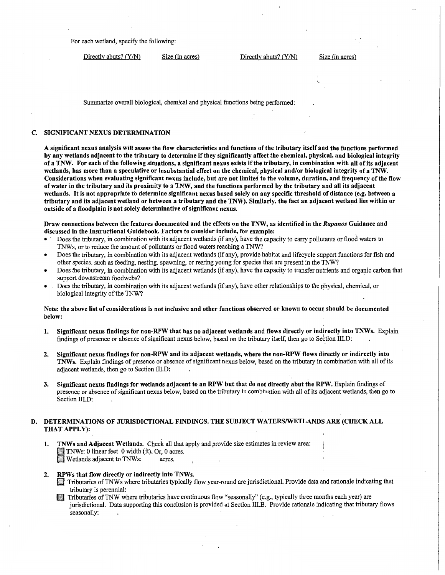For each wetland, specify the following:

Directly abuts? (Y/N) Size (in acres) Directly abuts? (Y/N) Size (in acres)

Summarize overall biological, chemical and physical functions being performed:

# C. SIGNIFICANT NEXUS DETERMINATION

A significant nexus analysis will assess the flow characteristics and functions of the tributary itself and the functions performed by any wetlands adjacent to the tributary to determine if they significantly affect the chemical, physieal, and biological integrity of a TNW. For each of the following situations, a significant nexus exists if the tributary; in combination with all of its adjacent wetlands, has more than a speculative or insubstantial effect on the chemical, physical and/or biological integrity of a 'fNW. Considerations when evaluating significant nexus include, but are not limited to the volume, duration, and frequency of the flow of water in the tributary and its proximity to a TNW, and the functions performed by the tributary and all its adjacent wetlands. It is not appropriate to determine significant nexus based solely on any specific threshold of distance (e.g. between a tributary and its adjacent wetland or between a tributary and the TNW). Similarly, the fact an adjacent wetland lies within or outside of a floodplain is not solely determinative of significant nexus.

# Draw connections between the features documented and the effects on the TNW, as identified in the *Rapanos* Guidance and discussed in the Instructional Guidebook. Factors to consider include, for example: ·

- Does the tributary, in combination with its adjacent wetlands (if any), have the capacity to carry pollutants or flood waters to TNWs, or to reduce the amount of pollutants or flood waters reaching a TNW?
- Does the tributary, in combination with its adjacent wetlands (if any), provide habitat and lifecycle support functions for fish and other species, such as feeding, nesting, spawning, or rearing young for species that are present in the TNW?
- Does the tributary, in combination with its adjacent wetlands (if any), have the capacity to transfer nutrients and organic carbon that support downstream foodwebs?
- Does the tributary, in combination with its adjacent wetlands (if any), have other relationships to the physical, chemical, or biological integrity of the TNW?

# Note: the above list of considerations is not inclusive and other functions observed or known to occur should be documented below:

- 1. Significant nexus findings for non-RPW that has no adjacent wetlands and flows directly or indirectly into TNWs. Explain findings of presence or absence of significant nexus below, based on the tributary itself, then go to Settion III.D: .
- 2. Significant nexus findings for non-RPW and its adjacent wetlands, where the non-RPW flows directly or indirectly into TNWs. Explain findings of presence or absence of significant nexus below, based on the tributary in combination with all of its adjacent wetlands, then go to Section III.D:
- 3. Significant nexus findings for wetlands adjacent to an RPW but that do not directly abut the RPW. Explain findings of presence or absence of significant nexus below, based on the tributary in combination with all of its adjacent wetlands, then go to Section III.D:

# D. DETERMINATIONS OF JURISDICTIONAL FINDINGS. THE SUBJECT WATERS/WETLANDS ARE (CHECK ALL THAT APPLY):

1. TNWs and Adjacent Wetlands. Check all that apply and provide size estimates in review area: TNWs: 0 linear feet 0 width (ft), Or, 0 acres. Wetlands adjacent to TNWs: acres.

- 2. RPWs that flow directly or indirectly into TNWs.<br>Tributaries of TNWs where tributaries typically flow year-round are jurisdictional. Provide data and rationale indicating that tributary is perennial:
	- III Tributaries of TNW where tributaries have continuous flow "seasonally" (e.g., typically three months each year) are jurisdictional. Data supporting this conclusion is provided at Section III.B. Provide rationale indicating that tributary flows seasonally: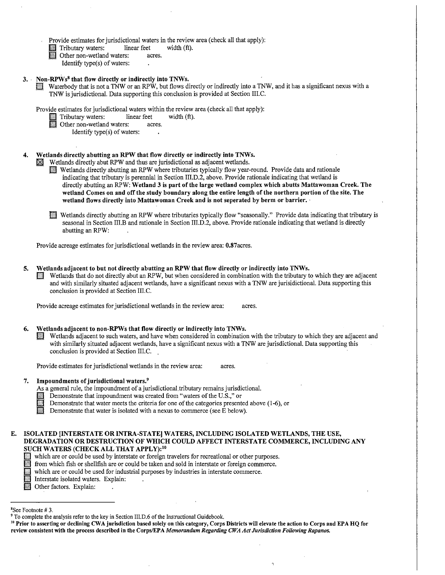- Provide estimates for jurisdictional waters in the review area (check all that apply):<br>
Tributary waters: linear feet width (ft).
- iinear feet<br>
Other non-wetland waters: acres.
	-
	- Identify type(s) of waters:
- 
- 3. Non-RPWs<sup>8</sup> that flow directly or indirectly into TNWs.<br>**in Waterbody that is not a TNW or an RPW**, but flows directly or indirectly into a TNW, and it has a significant nexus with a TNW is jurisdictional. Data supporting this conclusion is provided at Section III.C.

Provide estimates for jurisdictional waters within the review area (check all that apply):<br>
Tributary waters: linear feet width (ft).

- iinear feet<br>
Other non-wetland waters: acres.
	- - Identify type(s) of waters:
- Wetlands directly abutting an RPW that flow directly or indirectly into TNWs.

 $\mathbb K$  Wetlands directly abut RPW and thus are jurisdictional as adjacent wetlands.

- **in Wetlands directly abutting an RPW where tributaries typically flow year-round. Provide data and rationale** indicating that tributary is perennial in Section III.D.2, above. Provide rationale indicating that wetland is directly abutting an RPW: Wetland 3 is part of the large wetland complex which abutts Mattawoman Creek. The wetland Comes on and off the study boundary along the entire length of the northern portion of the site. The wetland flows directly into Mattawoman Creek and is not seperated by berm or barrier.
- **i** Wetlands directly abutting an RPW where tributaries typically flow "seasonally." Provide data indicating that tributary is seasonal in Section III.B and rationale in Section III.D.2, above. Provide rationale indicating that wetland is directly abutting an RPW:

Provide acreage estimates for jurisdictional wetlands in the review area: 0.87acres.

- 
- 5. Wetlands adjacent to but not directly abutting an RPW that flow directly or indirectly into TNWs.<br>Wetlands that do not directly abut an RPW, but when considered in combination with the tributary to which they are adjace and with similarly situated adjacent wetlands, have a significant nexus with a TNW are jurisidictional. Data supporting this conclusion is provided at Section III.C.

Provide acreage estimates for jurisdictional wetlands in the review area: acres.

- 6. Wetlands adjacent to non-RPWs that flow directly or indirectly into TNWs.
	- Wetlands adjacent to such waters, and have when considered in combination with the tributary to which they are adjacent and with similarly situated adjacent wetlands, have a significant nexus with a TNW are jurisdictional. Data supporting this conclusion is provided at Section III.C. .

Provide estimates for jurisdictional wetlands in the review area: acres.

# 7. Impoundments of jurisdictional waters.9

- As a general rule, the impoundment of a jurisdictional tributary remains jurisdictional.<br>Demonstrate that impoundment was created from "waters of the U.S.," or
	-
- III Demonstrate that impoundment was created from "waters of the U.S.," or<br>Demonstrate that water meets the criteria for one of the categories presented above (1-6), or **in Exercise 1** Demonstrate that water meets the criteria for one of the categories presented Demonstrate that water is isolated with a nexus to commerce (see E below).
	-

# E. ISOLATED [INTERSTATE OR INTRA-STATE] WATERS, INCLUDING ISOLATED WETLANDS, THE USE, DEGRADATION OR DESTRUCTION OF WHICH COULD AFFECT INTERSTATE COMMERCE, INCLUDING ANY SUCH WATERS (CHECK ALL THAT APPLY):<sup>10</sup>

- which are or could be used by interstate or foreign travelers for recreational or other purposes.
- from which fish or shellfish are or could be taken and sold in interstate or foreign commerce.
- if from which fish or shellfish are or could be taken and sold in interstate or foreign comm<br>which are or could be used for industrial purposes by industries in interstate commerce. iii which are or could be used for industrial p<br>Interstate isolated waters. Explain:
- Interstate isolated waters. Explain:<br>
Other factors. Explain:
- 

<sup>9</sup> To complete the analysis refer to the key in Section III.D.6 of the Instructional Guidebook.<br><sup>10</sup> Prior to asserting or declining CWA jurisdiction based solely on this category, Corps Districts will elevate the action review consistent with the process described in the Corps/EPA *Memorandum Regarding CWA Act Jurisdiction Following Rapanos.* 

<sup>&</sup>lt;sup>8</sup>See Footnote #3.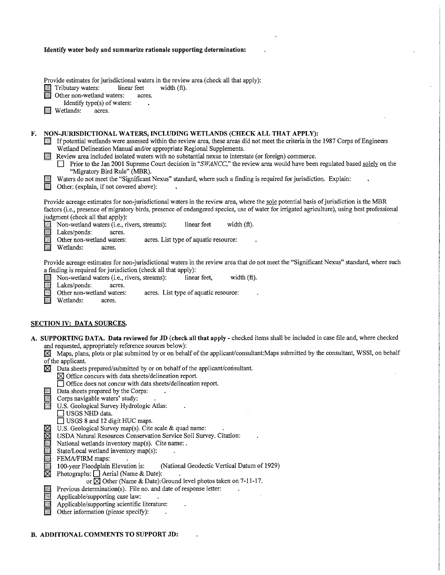|    | Identify water body and summarize rationale supporting determination:                                                                                                                                                                                                                                                                                                                                                                                                                                                                                         |
|----|---------------------------------------------------------------------------------------------------------------------------------------------------------------------------------------------------------------------------------------------------------------------------------------------------------------------------------------------------------------------------------------------------------------------------------------------------------------------------------------------------------------------------------------------------------------|
|    |                                                                                                                                                                                                                                                                                                                                                                                                                                                                                                                                                               |
|    | Provide estimates for jurisdictional waters in the review area (check all that apply):<br>Tributary waters:<br>linear feet<br>width $(ft)$ .<br>Other non-wetland waters:<br>acres.<br>Identify type(s) of waters:<br>$\bullet$<br>Wetlands:<br>acres.                                                                                                                                                                                                                                                                                                        |
|    |                                                                                                                                                                                                                                                                                                                                                                                                                                                                                                                                                               |
| F. | NON-JURISDICTIONAL WATERS, INCLUDING WETLANDS (CHECK ALL THAT APPLY):<br>If potential wetlands were assessed within the review area, these areas did not meet the criteria in the 1987 Corps of Engineers<br>Wetland Delineation Manual and/or appropriate Regional Supplements.<br>Review area included isolated waters with no substantial nexus to interstate (or foreign) commerce.<br>Prior to the Jan 2001 Supreme Court decision in "SWANCC," the review area would have been regulated based solely on the<br>$\perp$<br>"Migratory Bird Rule" (MBR). |
|    | Waters do not meet the "Significant Nexus" standard, where such a finding is required for jurisdiction. Explain:<br>n<br>Other: (explain, if not covered above):                                                                                                                                                                                                                                                                                                                                                                                              |
|    | Provide acreage estimates for non-jurisdictional waters in the review area, where the sole potential basis of jurisdiction is the MBR<br>factors (i.e., presence of migratory birds, presence of endangered species, use of water for irrigated agriculture), using best professional<br>judgment (check all that apply):                                                                                                                                                                                                                                     |
|    | Non-wetland waters (i.e., rivers, streams):<br>linear feet<br>width $(ft)$ .<br>Lakes/ponds:<br>acres.<br>Other non-wetland waters:<br>acres. List type of aquatic resource:<br>Wetlands:<br>acres.                                                                                                                                                                                                                                                                                                                                                           |
|    | Provide acreage estimates for non-jurisdictional waters in the review area that do not meet the "Significant Nexus" standard, where such<br>a finding is required for jurisdiction (check all that apply):<br>Non-wetland waters (i.e., rivers, streams):<br>width (ft).<br>linear feet,<br>Lakes/ponds:<br>acres.<br>Other non-wetland waters:<br>acres. List type of aquatic resource:<br>Wetlands:<br>acres.                                                                                                                                               |
|    | <b>SECTION IV: DATA SOURCES.</b>                                                                                                                                                                                                                                                                                                                                                                                                                                                                                                                              |
|    | A. SUPPORTING DATA. Data reviewed for JD (check all that apply - checked items shall be included in case file and, where checked<br>and requested, appropriately reference sources below):                                                                                                                                                                                                                                                                                                                                                                    |
|    | Maps, plans, plots or plat submitted by or on behalf of the applicant/consultant: Maps submitted by the consultant, WSSI, on behalf<br>of the applicant.                                                                                                                                                                                                                                                                                                                                                                                                      |
|    | $\boxtimes$ Data sheets prepared/submitted by or on behalf of the applicant/consultant.<br>$\boxtimes$ Office concurs with data sheets/delineation report.                                                                                                                                                                                                                                                                                                                                                                                                    |
|    | □ Office does not concur with data sheets/delineation report.<br>Data sheets prepared by the Corps:                                                                                                                                                                                                                                                                                                                                                                                                                                                           |
|    | Corps navigable waters' study:<br>U.S. Geological Survey Hydrologic Atlas:<br>$\Box$ USGS NHD data.                                                                                                                                                                                                                                                                                                                                                                                                                                                           |
|    | □ USGS 8 and 12 digit HUC maps.<br>U.S. Geological Survey map(s). Cite scale & quad name:                                                                                                                                                                                                                                                                                                                                                                                                                                                                     |
|    | M<br>USDA Natural Resources Conservation Service Soil Survey. Citation:<br>National wetlands inventory map(s). Cite name: .                                                                                                                                                                                                                                                                                                                                                                                                                                   |
|    | State/Local wetland inventory map(s):<br>FEMA/FIRM maps:<br>100-year Floodplain Elevation is:<br>(National Geodectic Vertical Datum of 1929)<br>×                                                                                                                                                                                                                                                                                                                                                                                                             |
|    | ⊠<br>Photographs: $\Box$ Aerial (Name & Date):<br>or $\boxtimes$ Other (Name & Date): Ground level photos taken on 7-11-17.                                                                                                                                                                                                                                                                                                                                                                                                                                   |
|    | Previous determination(s). File no. and date of response letter:<br>Applicable/supporting case law:<br>Applicable/supporting scientific literature:<br>Other information (please specify):                                                                                                                                                                                                                                                                                                                                                                    |
|    |                                                                                                                                                                                                                                                                                                                                                                                                                                                                                                                                                               |

 $\ddot{\phantom{1}}$ 

B. ADDITIONAL COMMENTS TO SUPPORT JD: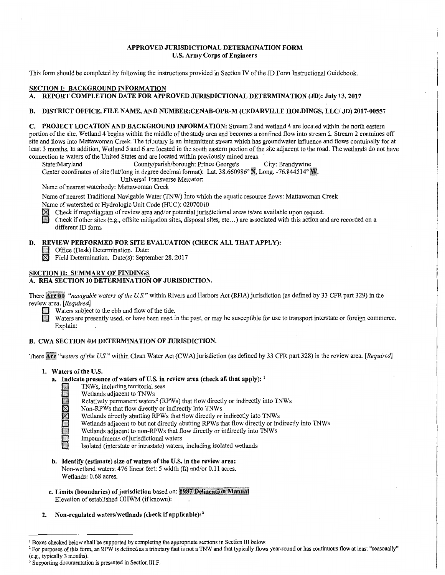# APPROVED JURISDICTIONAL DETERMINATION FORM U.S. Army Corps of Engineers

This form should be completed by following the instructions provided in Section N of the JD Form Instructional Guidebook.

# SECTION I: BACKGROUND INFORMATION

# A. REPORT COMPLETION DATE FOR APPROVED JURISDICTIONAL DETERMINATION (JD): July 13, 2017

#### B. DISTRICT OFFICE, FILE NAME, AND NUMBER:CENAB-OPR-M (CEDARVILLE HOLDINGS, LLC/ JD) 2017-00557

C. PROJECT LOCATION AND BACKGROUND INFORMATION: Stream 2 and wetland 4 are located within the north eastern portion of the site. Wetland 4 begins within the middle of the study area and becomes a confined flow into stream 2. Stream 2 contuines off site and flows into Mattawoman Creek. The tributary is an intermittent stream which has groundwater influence and flows contuinally for at least 3 months. In addition, Wetland *5* and 6 are located in the south eastern portion of the site adjacent to the road. The wetlands do not have connection to waters of the United States and are located within previously mined areas.<br>
State:Maryland County/parish/borough: Prince George's City: Brandywine

County/parish/borough: Prince George's

Center coordinates of site (lat/long in degree decimal format): Lat.  $38.660986°$  N, Long. -76.844514° W.

Universal Transverse Mercator:

Name of nearest waterbody: Mattawoman Creek

Name of nearest Traditional Navigable Water (TNW) into which the aquatic resource flows: Mattawoman Creek Name of watershed or Hydrologic Unit Code (HUC): 02070010

 $\boxtimes$  Check if map/diagram of review area and/or potential jurisdictional areas is/are available upon request.<br>The Check if other sites (e.g., offsite mitigation sites, disposal sites, etc...) are associated with this act

0 Check if other sites (e.g., offsite mitigation sites, disposal sites, etc ... ) are associated with this action and are recorded on a different JD form.

# D. REVIEW PERFORMED FOR SITE EVALUATION (CHECK ALL THAT APPLY):<br>
Office (Desk) Determination. Date:

 $\boxtimes$  Field Determination. Date(s): September 28, 2017

# SECTION II: SUMMARY OF FINDINGS

# A. RHA SECTION 10 DETERMINATION OF JURISDICTION.

There *Are* no "*navigable waters of the U.S.*" within Rivers and Harbors Act (RHA) jurisdiction (as defined by 33 CFR part 329) in the review area. *[Required]* 

Waters subject to the ebb and flow of the tide.

Waters are presently used, or have been used in the past, or may be susceptible for use to transport interstate or foreign commerce. Explain:

# B. CWA SECTION 404 DETERMINATION OF JURISDICTION.

There Are "waters of the U.S." within Clean Water Act (CWA) jurisdiction (as defined by 33 CFR part 328) in the review area. [Required]

#### 1. Waters of the U.S.

- a. Indicate presence of waters of U.S. in review area (check all that apply):  $\frac{1}{2}$  TNWs, including territorial seas
	-
	- Wetlands adjacent to TNWs
	- I TNWs, including territorial seas<br>
	. Relatively permanent waters<sup>2</sup> (RPWs) that flow directly or indirectly into TNWs<br>
	. Relatively permanent waters<sup>2</sup> (RPWs) that flow directly or indirectly into TNWs<br>
	Non-RPWs that flow
	- Non-RPWs that flow directly or indirectly into TNWs
	- Wetlands directly abutting RPWs that flow directly or indirectly into TNWs
	- Wetlands adjacent to but not directly abutting RPWs that flow directly or indirectly into TNWs
	- Wetlands adjacent to non-RPWs that flow directly or indirectly into TNWs
	- Impoundments of jurisdictional waters
	- Isolated (interstate or intrastate) waters, including isolated wetlands
- b. Identify (estimate) size of waters of the U.S. in the review area: Non-wetland waters: 476 linear feet: *5* width (ft) and/or 0.11 acres. Wetlands: 0.68 acres.
- c. Limits (boundaries) of jurisdiction based on: 1987 Delineation Manual Elevation of established OHWM (if known):
- 2. Non-regulated waters/wetlands (check if applicable):<sup>3</sup>

<sup>&</sup>lt;sup>1</sup> Boxes checked below shall be supported by completing the appropriate sections in Section III below.<br><sup>2</sup> For purposes of this form, an RPW is defined as a tributary that is not a TNW and that typically flows year-round

<sup>&</sup>lt;sup>3</sup> Supporting documentation is presented in Section III.F.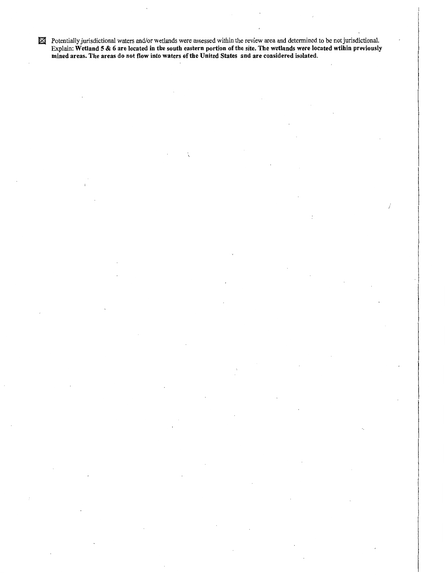$\mathbb X$  Potentially jurisdictional waters and/or wetlands were assessed within the review area and determined to be not jurisdictional. Explain: Wetland 5 & 6 are located in the south eastern portion of the site. The wetlands were located wtihin previously mined areas. The areas do not flow into waters of the United States and are considered isolated.

j.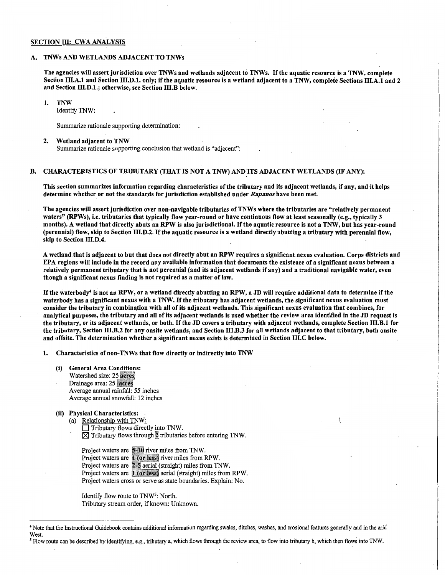#### SECTION III: CWA ANALYSIS

#### A. TNWs AND WETLANDS ADJACENT TO TNWs

The agencies will assert jurisdiction over TNWs and wetlands adjacent to TNWs. If the aquatic resource is a TNW, complete Section III.A.I and Section III.D.1. only; if the aquatic resource is a wetland adjacent to a TNW, complete Sections III.A.I and 2 and Section III.D.1.; otherwise, see Section III.B below.

#### 1. TNW

Identify TNW:

Summarize rationale supporting determination:

#### 2. Wetland adjacent to TNW

Summarize rationale supporting conclusion that wetland is "adjacent":

#### B. CHARACTERISTICS OF TRIBUTARY (THAT IS NOT A TNW) AND ITS ADJACENT WETLANDS (IF ANY):

This section summarizes information regarding characteristics of the tributary and its adjacent wetlands, if any, and it helps determine whether. or not the standards for jurisdiction established under *Rapanos* have been met.

The agencies will assert jurisdiction over non-navigable tributaries of TNWs where the tributaries are "relatively permanent waters" (RPWs), i.e. tributaries that typically flow year-round or have continuous flow at least seasonally (e.g., typically 3 months). A wetland that directly abuts an RPW is also jurisdictional. If the aquatic resource is not a TNW, but has year-round (perennial) flow, skip to Section III.D.2. If the aquatic resource is a wetland directly abutting a tributary with perennial flow, skip to Section IIl.D.4.

A wetland that is adjacent to but that does not directly abut an RPW requires a significant.nexus evaluation. Corps districts and EPA regions will include in the record any available information that documents the existence of a significant nexus between a relatively permanent tributary that is not perennial (and its adjacent wetlands if any) and a traditional navigable water, even though a significant nexus finding is not required as a matter of law.

If the waterbody<sup>4</sup> is not an RPW, or a wetland directly abutting an RPW, a JD will require additional data to determine if the waterbody has a significant nexus with a TNW. If the tributary has adjacent wetlands, the significant nexus evaluation must consider the tributary in combination with all of its adjacent wetlands. This significant nexus evaluation that combines, for analytical purposes, the tributary and all of its adjacent wetlands is used whether the review area identified in the JD request is the tributary, or its adjacent wetlands, or both. If the JD covers a tributary with adjacent wetlands, complete Section III.B.1 for the tributary, Section III.B.2 for any onsite wetlands, and Section III.B.3 for all wetlands adjacent to that tributary, both onsite and offsite. The determination whether a significant nexus exists is determined in Section III.C below.

1. Characteristics of non-TNWs that flow directly or indirectly into TNW

- (i) General Area Conditions: Watershed size: 25 Drainage area: 25 acres Average annual rainfall: 55 inches Average annual snowfall: 12 inches
- (ii) Physical Characteristics:
	- (a) Relationship with TNW:
		- $\Box$  Tributary flows directly into TNW.  $\boxtimes$  Tributary flows through  $\ddot{a}$  tributaries before entering TNW.

Project waters are 5-10 river miles from TNW. Project waters are 1 (or less) river miles from RPW. Project waters are 2-5 aerial (straight) miles from TNW. Project waters are **1** (or less) aerial (straight) miles from RPW. Project waters cross or serve as state boundaries. Explain: No.

Identify flow route to TNW<sup>5</sup>: North. · Tributary stream order, if known: Unknown.

*5* Flow route can be described by identifying, e.g., tributary a, which flows through the review area, to flow into tributary b, which then flows into TNW.

<sup>4</sup> Note that the Instructional Guidebook contains additional infonnation regarding swales, ditches, washes, and erosional features generally and in the arid West.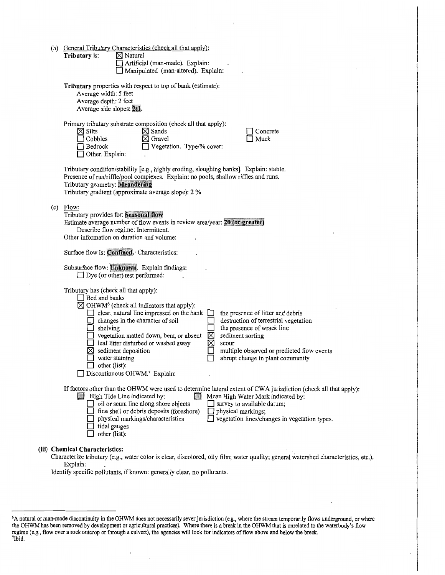|     | (b) General Tributary Characteristics (check all that apply):<br>$\boxtimes$ Natural<br>Tributary is:<br>Artificial (man-made). Explain:<br>Manipulated (man-altered). Explain:                                                                                                                                                                                                                                                                                                                                                                                                                                                                                 |
|-----|-----------------------------------------------------------------------------------------------------------------------------------------------------------------------------------------------------------------------------------------------------------------------------------------------------------------------------------------------------------------------------------------------------------------------------------------------------------------------------------------------------------------------------------------------------------------------------------------------------------------------------------------------------------------|
|     | Tributary properties with respect to top of bank (estimate):<br>Average width: 5 feet<br>Average depth: 2 feet<br>Average side slopes: 2:1.                                                                                                                                                                                                                                                                                                                                                                                                                                                                                                                     |
|     | Primary tributary substrate composition (check all that apply):<br>$\boxtimes$ Sands<br>Concrete<br>$\boxtimes$ Silts<br>$\boxtimes$ Gravel<br>Muck<br>$\Box$ Cobbles<br>Vegetation. Type/% cover:<br>Bedrock<br>Other. Explain:                                                                                                                                                                                                                                                                                                                                                                                                                                |
|     | Tributary condition/stability [e.g., highly eroding, sloughing banks]. Explain: stable.<br>Presence of run/riffle/pool complexes. Explain: no pools, shallow riffles and runs.<br>Tributary geometry: Meandering<br>Tributary gradient (approximate average slope): 2 %                                                                                                                                                                                                                                                                                                                                                                                         |
| (c) | Flow:<br>Tributary provides for: Seasonal flow<br>Estimate average number of flow events in review area/year: 20 (or greater)<br>Describe flow regime: Intermittent.<br>Other information on duration and volume:                                                                                                                                                                                                                                                                                                                                                                                                                                               |
|     | Surface flow is: Confined. Characteristics:                                                                                                                                                                                                                                                                                                                                                                                                                                                                                                                                                                                                                     |
|     | Subsurface flow: Unknown. Explain findings:<br>$\Box$ Dye (or other) test performed:                                                                                                                                                                                                                                                                                                                                                                                                                                                                                                                                                                            |
|     | Tributary has (check all that apply):<br>$\Box$ Bed and banks<br>$\boxtimes$ OHWM <sup>6</sup> (check all indicators that apply):<br>$\Box$ clear, natural line impressed on the bank<br>the presence of litter and debris<br>destruction of terrestrial vegetation<br>changes in the character of soil<br>the presence of wrack line<br>shelving<br>X<br>sediment sorting<br>vegetation matted down, bent, or absent<br>⊠<br>leaf litter disturbed or washed away<br>scour<br>multiple observed or predicted flow events<br>sediment deposition<br>abrupt change in plant community<br>water staining<br>$\Box$ other (list):<br>Discontinuous OHWM.7 Explain: |
|     | If factors other than the OHWM were used to determine lateral extent of CWA jurisdiction (check all that apply):<br>High Tide Line indicated by:<br>m<br>Mean High Water Mark indicated by:<br>$\Box$ oil or scum line along shore objects<br>survey to available datum;<br>fine shell or debris deposits (foreshore)<br>physical markings;<br>vegetation lines/changes in vegetation types.<br>physical markings/characteristics<br>tidal gauges<br>other (list):                                                                                                                                                                                              |
|     | (iii) Chemical Characteristics:<br>Characterize tributary (e.g., water color is clear, discolored, oily film; water quality; general watershed characteristics, etc.).<br>Explain:                                                                                                                                                                                                                                                                                                                                                                                                                                                                              |

Identify specific pollutants, if known: generally clear, no pollutants.

<sup>6</sup> A natural or man-made discontinuity in the OHWM does not necessarily sever jurisdiction (e.g., where the stream temporarily flows underground, or where the OHWM has been removed by development or agricultural practices). Where there is a break in the OHWM that is unrelated to the waterbody's flow regime (e.g., flow over a rock outcrop or through a culvert), the agencies will look for indicators of flow above and below the break.<br><sup>7</sup>Ibid <sup>7</sup>Ibid.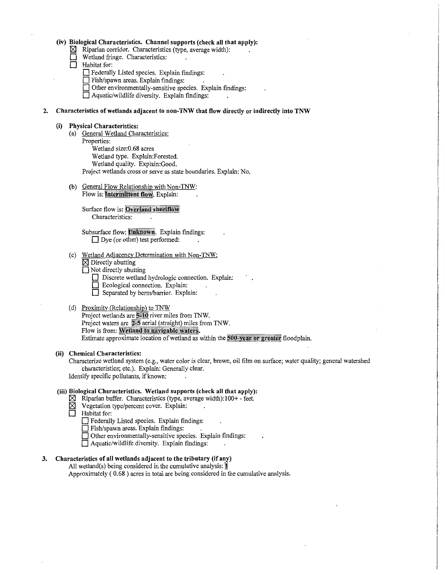#### **(iv) Biological Characteristics. Channel supports (check all that apply):**

- ~ Riparian corridor. Characteristics (type, average width):
- **D** Wetland fringe. Characteristics:<br> **D** Habitat for:
	- **Habitat** for:
		- **D** Federally Listed species. Explain findings:
		- **D** Fish/spawn areas. Explain findings:
		- **D** Other environmentally-sensitive species. Explain findings:

**D** Aquatic/wildlife diversity. Explain findings:

#### **2. Characteristics of wetlands adjacent to non-TNW that flow directly or indirectly into TNW**

#### **(i) Physical Characteristics:**

- (a) General Wetland Characteristics:
	- Properties: Wetland size:0.68 acres Wetland type. Explain:Forested. Wetland quality. Explain:Good. Project wetlands cross or serve as state boundaries. Explain: No.
- (b) General Flow Relationship with Non-TNW: Flow is: Intermittent flow. Explain:

Surface flow is: Overland sheetflow Characteristics:  $\cdot$ 

Subsurface flow: Unknown. Explain findings: □ Dye (or other) test performed:

- (c) Wetland Adjacency Determination with Non-TNW:
	- $\boxtimes$  Directly abutting
	- Not directly abutting
		- D Discrete wetland hydrologic connection. Explain:
		- **D** Ecological connection. Explain:
			- **D** Separated by berm/barrier. Explain:

# (d) Proximity (Relationship) to TNW

Project wetlands are 5-10 river miles from TNW. Project waters are 2-5 aerial (straight) miles from TNW. Flow is from: Wetland to navigable waters. Estimate approximate location of wetland as within the 500-year or greater floodplain.

# **(ii) Chemical Characteristics:**

Characterize wetland system (e.g., water color is clear, brown, oil film on surface; water quality; general watershed characteristics; etc.). Explain: Generally clear. Identify specific pollutants, if known:

#### **(iii) Biological Characteristics. Wetland supports (check all that apply):**

- $\boxtimes$  Riparian buffer. Characteristics (type, average width): 100+ feet.<br> $\boxtimes$  Vegetation type/percent cover. Explain:
- $\boxtimes$  Vegetation type/percent cover. Explain:<br>
Habitat for:
- **Habitat for:**

**D** Federally Listed species. Explain findings:

- **D** Fish/spawn areas. Explain findings:
- **D** Other environmentally-sensitive species. Explain findings:
- **D** Aquatic/wildlife diversity. Explain findings:

# **3. Characteristics of all wetlands adjacent to the tributary (if any)**

All wetland(s) being considered in the cumulative analysis:  $\mathbb{I}$ Approximately ( 0.68 ) acres in total are being considered in the cumulative analysis.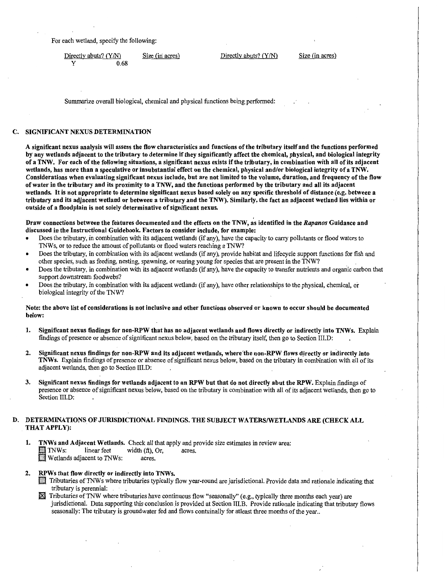For each wetland, specify the following:

Directly abuts? (Y/N) Size (in acres) Directly abuts? (Y/N) Size (in acres) y 0.68

Summarize overall biological, chemical and physical functions being performed:

# C. SIGNIFICANT NEXUS DETERMINATION

A significant nexus analysis will assess the flow characteristics and functions of the tributary itself and the functions performed by any wetlands adjacent to the tributary to determine if they significantly affect the chemical, physical, and biological integrity of a TNW. For each of the following situations, a significant nexus exists if the tributary, in combination with all of its adjacent wetlands, has more than a speculative or insubstantial effect on the chemical, physical and/or biological integrity of a TNW. Considerations when evaluating significant nexus include, but are not limited to the volume, duration, and frequency of the flow of water in the tributary and its proximity to a TNW, and the functions performed by the tributary and all its adjacent wetlands. It is not appropriate to determine significant nexus based solely on any specific threshold of distance (e.g. between a tributary and its adjacent wetland or between a tributary and the TNW). Similarly, the fact an adjacent wetland lies within or outside of a floodplain is not solely determinative of significant nexus.

Draw connections between the features documented and the effects on the TNW, as identified in the *Rapanos* Guidance and discussed in the Instructional Guidebook. Factors to consider include, for example:

- Does the tributary, in combination with its adjacent wetlands (if any), have the capacity to carry pollutants or flood waters to TNWs, or to reduce the amount of pollutants or flood waters reaching a TNW?
- Does the tributary, in combination with its adjacent wetlands (if any), provide habitat and lifecycle support functions for fish and other species, such as feeding, nesting, spawning, or rearing young for species that are present in the TNW?
- Does the tributary, in combination with its adjacent wetlands (if any), have the capacity to transfer nutrients and organic carbon that support downstream foodwebs?
- Does the tributary, in combination with its adjacent wetlands (if any), have other relationships to the physical, chemical, or biological integrity of the TNW?

# Note: the above list of considerations is not inclusive and other functions observed or known to occur should be documented below:

- 1. Significant nexus findings for non-RPW that has no adjacent wetlands and flows directly or indirectly into TNWs. Explain findings of presence or absence of significant nexus below, based on the tributary itself, then go to Section III.D:
- 2. Significant nexus findings for non-RPW and its adiacent wetlands, where the non-RPW flows directly or indirectly into TNWs. Explain findings of presence or absence of significant nexus below, based on the tributary in combination with all of its adjacent wetlands, then go to Section III.D:
- 3. Significant nexus findings for wetlands adjacent to an RPW but that do not directly abut the RPW. Explain findings of presence or absence of significant nexus below, based on the tributary in combination with all of its adjacent wetlands, then go to Section III.D:

# D. DETERMINATIONS OF JURISDICTIONAL FINDINGS. THE SUBJECT WATERS/WETLANDS ARE (CHECK ALL THAT APPLY):

- 1. TNWs and Adjacent Wetlands. Check all that apply and provide size estimates in review area: INWS: linear feet width  $(ft)$ , Or, acres.  $\Box$  IN Wetlands adjacent to TNWs: acres.
- 2. RPWs that flow directly or indirectly into TNWs.
	- lfl Tributaries of TNW s where tributaries typically flow year-round are jurisdictional. Provide data and rationale indicating that tributary is perennial:
	- S Tributaries ofTNW where tributaries have continuous flow "seasonally" (e.g., typically three months each year) are jurisdictional. Data supporting this conclusion is provided at Section III.B. Provide rationale indicating that tributary flows seasonally: The tributary is groundwater fed and flows contuinally for atleast three months of the year...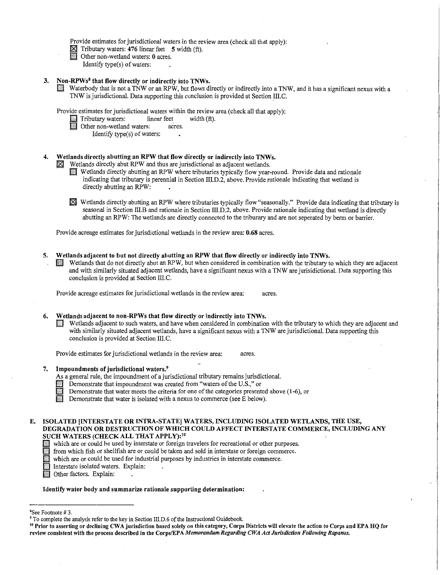Provide estimates for jurisdictional waters in the review area (check all that apply):

 $\boxtimes$  Tributary waters: 476 linear feet 5 width (ft).<br>
Other non-wetland waters: 0 acres.

Identify type(s) of waters:

#### 3. Non-RPWs8 that flow directly or indirectly into TNWs.

D Waterbody that is not a TNW or an RPW, but flows directly or indirectly into a TNW, and it has a significant nexus with a TNW is jurisdictional. Data supporting this conclusion is provided at Section !Il.C.

Provide estimates for jurisdictional waters within the review area (check all that apply):

Tributary waters: linear feet width (ft).

Other non-wetland waters: acres.

Identify type(s) of waters:

# 4. Wetlands directly abutting an RPW that flow directly or indirectly into TNWs.  $\boxtimes$  Wetlands directly abut RPW and thus are jurisdictional as adjacent wetlands.

- D Wetlands directly abutting an RPW where tributaries typically flow year-round. Provide data and rationale indicating that tributary is perennial in Section III.D.2, above. Provide rationale indicating that wetland is directly abutting an RPW:
- $\mathbb{\overline{X}}$  Wetlands directly abutting an RPW where tributaries typically flow "seasonally." Provide data indicating that tributary is seasonal in Section III.B and rationale in Section III.D.2, above. Provide rationale indicating that wetland is directly abutting an RPW: The wetlands are directly connected to the triburary and are not seperated by berm or barrier.

Provide acreage estimates for jurisdictional wetlands in the review area: 0.68 acres.

5. Wetlands adjacent to but not directly abutting an RPW that flow directly or indirectly into TNWs. Wetlands that do not directly abut an RPW, but when considered in combination with the tributary to which they are adjacent and with similarly situated adjacent wetlands, have a significant nexus with a TNW are jurisidictional. Data supporting this conclusion is provided at Section 111.C.

Provide acreage estimates for jurisdictional wetlands in the review area: acres.

#### 6. Wetlands adjacent to non-RPWs that flow directly or indirectly into TNWs.

D Wetlands adjacent to such waters, and have when considered in combination with the tributary to which they are adjacent and with similarly situated adjacent wetlands, have a significant nexus with a TNW are jurisdictional. Data supporting this conclusion is provided at Section 111.C.

Provide estimates for jurisdictional wetlands in the review area: acres.

#### 7. Impoundments of jurisdictional waters.9

As a general rule, the impoundment of a jurisdictional tributary remains jurisdictional.

- Demonstrate that impoundment was created from "waters of the U.S.," or
	- Demonstrate that water meets the criteria for one of the categories presented above  $(1-6)$ , or
	- Demonstrate that water is isolated with a nexus to commerce (see E below).

#### E. ISOLATED [INTERSTATE OR INTRA-STATE] WATERS, INCLUDING ISOLATED WETLANDS, THE USE, DEGRADATION OR DESTRUCTION OF WHICH COULD AFFECT INTERSTATE COMMERCE, INCLUDING ANY SUCH WATERS (CHECK ALL THAT APPLY):<sup>10</sup>

- Which are or could be used by interstate or foreign travelers for recreational or other purposes.
- D from which fish or shellfish are or could be taken and sold in interstate or foreign commerce.
- D which are or could be used for industrial purposes by industries in interstate commerce.
- **Interstate isolated waters. Explain:** Interstate isolated waters. Explain:<br>
Other factors. Explain:
- 

#### Identify water body and summarize rationale supporting determination:

<sup>&</sup>lt;sup>8</sup>See Footnote #3.

<sup>&</sup>lt;sup>9</sup> To complete the analysis refer to the key in Section III.D.6 of the Instructional Guidebook.<br><sup>10</sup> Prior to asserting or declining CWA jurisdiction based solely on this category, Corps Districts will elevate the action review consistent with the process described in the Corps/EPA *Memorandum Regarding CWA Act Jurisdiction Following Rapanos.*